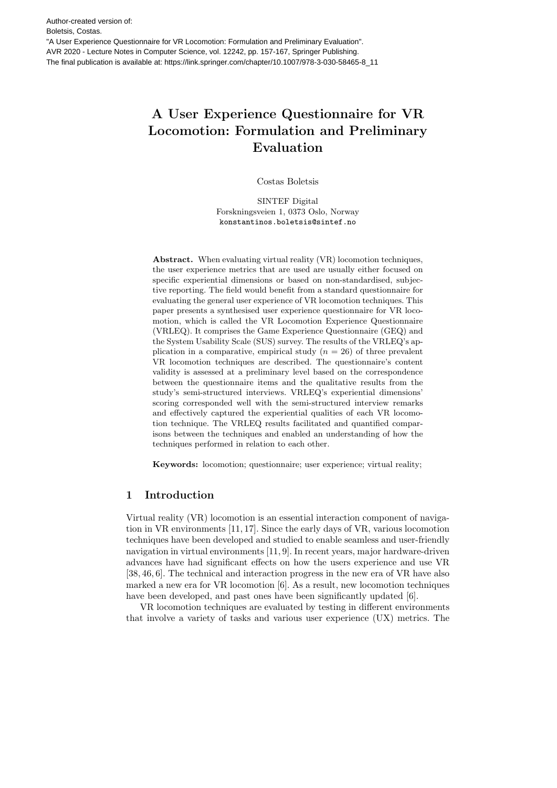Author-created version of: Boletsis, Costas. "A User Experience Questionnaire for VR Locomotion: Formulation and Preliminary Evaluation". AVR 2020 - Lecture Notes in Computer Science, vol. 12242, pp. 157-167, Springer Publishing. The final publication is available at: https://link.springer.com/chapter/10.1007/978-3-030-58465-8\_11

# A User Experience Questionnaire for VR Locomotion: Formulation and Preliminary Evaluation

Costas Boletsis

SINTEF Digital Forskningsveien 1, 0373 Oslo, Norway konstantinos.boletsis@sintef.no

Abstract. When evaluating virtual reality (VR) locomotion techniques, the user experience metrics that are used are usually either focused on specific experiential dimensions or based on non-standardised, subjective reporting. The field would benefit from a standard questionnaire for evaluating the general user experience of VR locomotion techniques. This paper presents a synthesised user experience questionnaire for VR locomotion, which is called the VR Locomotion Experience Questionnaire (VRLEQ). It comprises the Game Experience Questionnaire (GEQ) and the System Usability Scale (SUS) survey. The results of the VRLEQ's application in a comparative, empirical study  $(n = 26)$  of three prevalent VR locomotion techniques are described. The questionnaire's content validity is assessed at a preliminary level based on the correspondence between the questionnaire items and the qualitative results from the study's semi-structured interviews. VRLEQ's experiential dimensions' scoring corresponded well with the semi-structured interview remarks and effectively captured the experiential qualities of each VR locomotion technique. The VRLEQ results facilitated and quantified comparisons between the techniques and enabled an understanding of how the techniques performed in relation to each other.

Keywords: locomotion; questionnaire; user experience; virtual reality;

## 1 Introduction

Virtual reality (VR) locomotion is an essential interaction component of navigation in VR environments [11, 17]. Since the early days of VR, various locomotion techniques have been developed and studied to enable seamless and user-friendly navigation in virtual environments [11, 9]. In recent years, major hardware-driven advances have had significant effects on how the users experience and use VR [38, 46, 6]. The technical and interaction progress in the new era of VR have also marked a new era for VR locomotion [6]. As a result, new locomotion techniques have been developed, and past ones have been significantly updated [6].

VR locomotion techniques are evaluated by testing in different environments that involve a variety of tasks and various user experience (UX) metrics. The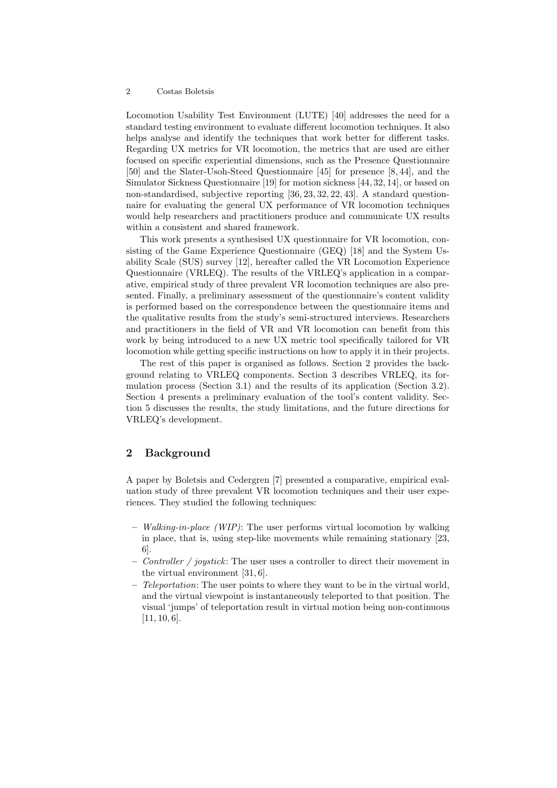Locomotion Usability Test Environment (LUTE) [40] addresses the need for a standard testing environment to evaluate different locomotion techniques. It also helps analyse and identify the techniques that work better for different tasks. Regarding UX metrics for VR locomotion, the metrics that are used are either focused on specific experiential dimensions, such as the Presence Questionnaire [50] and the Slater-Usoh-Steed Questionnaire [45] for presence [8, 44], and the Simulator Sickness Questionnaire [19] for motion sickness [44, 32, 14], or based on non-standardised, subjective reporting [36, 23, 32, 22, 43]. A standard questionnaire for evaluating the general UX performance of VR locomotion techniques would help researchers and practitioners produce and communicate UX results within a consistent and shared framework.

This work presents a synthesised UX questionnaire for VR locomotion, consisting of the Game Experience Questionnaire (GEQ) [18] and the System Usability Scale (SUS) survey [12], hereafter called the VR Locomotion Experience Questionnaire (VRLEQ). The results of the VRLEQ's application in a comparative, empirical study of three prevalent VR locomotion techniques are also presented. Finally, a preliminary assessment of the questionnaire's content validity is performed based on the correspondence between the questionnaire items and the qualitative results from the study's semi-structured interviews. Researchers and practitioners in the field of VR and VR locomotion can benefit from this work by being introduced to a new UX metric tool specifically tailored for VR locomotion while getting specific instructions on how to apply it in their projects.

The rest of this paper is organised as follows. Section 2 provides the background relating to VRLEQ components. Section 3 describes VRLEQ, its formulation process (Section 3.1) and the results of its application (Section 3.2). Section 4 presents a preliminary evaluation of the tool's content validity. Section 5 discusses the results, the study limitations, and the future directions for VRLEQ's development.

## 2 Background

A paper by Boletsis and Cedergren [7] presented a comparative, empirical evaluation study of three prevalent VR locomotion techniques and their user experiences. They studied the following techniques:

- $-$  Walking-in-place (WIP): The user performs virtual locomotion by walking in place, that is, using step-like movements while remaining stationary [23, 6].
- Controller / joystick: The user uses a controller to direct their movement in the virtual environment [31, 6].
- $-$  Teleportation: The user points to where they want to be in the virtual world, and the virtual viewpoint is instantaneously teleported to that position. The visual 'jumps' of teleportation result in virtual motion being non-continuous  $[11, 10, 6].$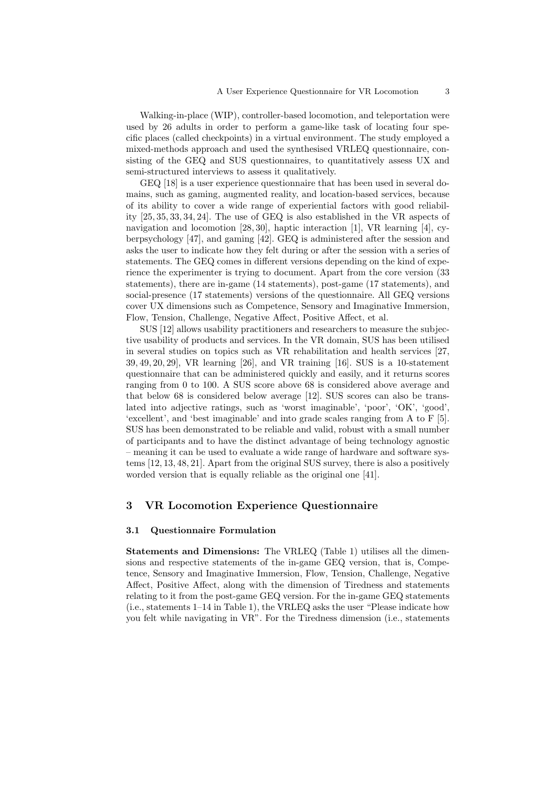Walking-in-place (WIP), controller-based locomotion, and teleportation were used by 26 adults in order to perform a game-like task of locating four specific places (called checkpoints) in a virtual environment. The study employed a mixed-methods approach and used the synthesised VRLEQ questionnaire, consisting of the GEQ and SUS questionnaires, to quantitatively assess UX and semi-structured interviews to assess it qualitatively.

GEQ [18] is a user experience questionnaire that has been used in several domains, such as gaming, augmented reality, and location-based services, because of its ability to cover a wide range of experiential factors with good reliability [25, 35, 33, 34, 24]. The use of GEQ is also established in the VR aspects of navigation and locomotion  $[28, 30]$ , haptic interaction  $[1]$ , VR learning  $[4]$ , cyberpsychology [47], and gaming [42]. GEQ is administered after the session and asks the user to indicate how they felt during or after the session with a series of statements. The GEQ comes in different versions depending on the kind of experience the experimenter is trying to document. Apart from the core version (33 statements), there are in-game (14 statements), post-game (17 statements), and social-presence (17 statements) versions of the questionnaire. All GEQ versions cover UX dimensions such as Competence, Sensory and Imaginative Immersion, Flow, Tension, Challenge, Negative Affect, Positive Affect, et al.

SUS [12] allows usability practitioners and researchers to measure the subjective usability of products and services. In the VR domain, SUS has been utilised in several studies on topics such as VR rehabilitation and health services [27, 39, 49, 20, 29], VR learning [26], and VR training [16]. SUS is a 10-statement questionnaire that can be administered quickly and easily, and it returns scores ranging from 0 to 100. A SUS score above 68 is considered above average and that below 68 is considered below average [12]. SUS scores can also be translated into adjective ratings, such as 'worst imaginable', 'poor', 'OK', 'good', 'excellent', and 'best imaginable' and into grade scales ranging from A to F [5]. SUS has been demonstrated to be reliable and valid, robust with a small number of participants and to have the distinct advantage of being technology agnostic – meaning it can be used to evaluate a wide range of hardware and software systems [12, 13, 48, 21]. Apart from the original SUS survey, there is also a positively worded version that is equally reliable as the original one [41].

## 3 VR Locomotion Experience Questionnaire

#### 3.1 Questionnaire Formulation

Statements and Dimensions: The VRLEQ (Table 1) utilises all the dimensions and respective statements of the in-game GEQ version, that is, Competence, Sensory and Imaginative Immersion, Flow, Tension, Challenge, Negative Affect, Positive Affect, along with the dimension of Tiredness and statements relating to it from the post-game GEQ version. For the in-game GEQ statements (i.e., statements 1–14 in Table 1), the VRLEQ asks the user "Please indicate how you felt while navigating in VR". For the Tiredness dimension (i.e., statements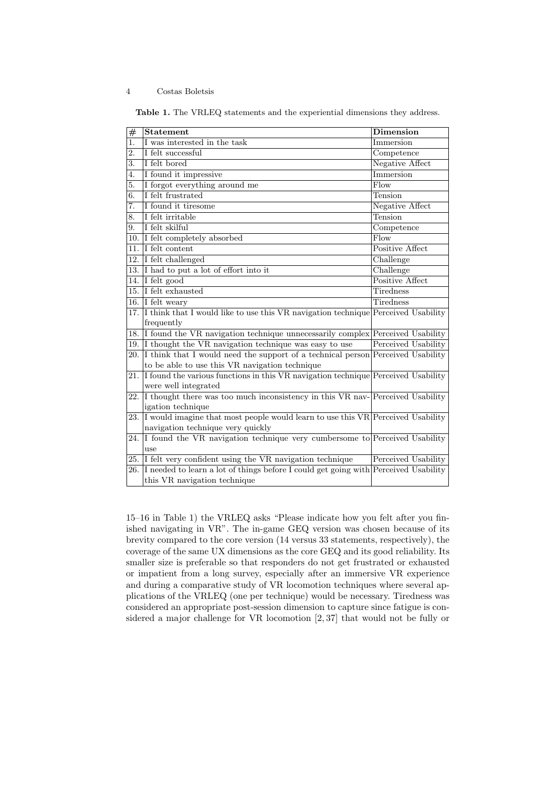| #                | <b>Statement</b>                                                                    | <b>Dimension</b>    |
|------------------|-------------------------------------------------------------------------------------|---------------------|
| $\overline{1}$ . | I was interested in the task                                                        | Immersion           |
| $\overline{2}$ . | I felt successful                                                                   | Competence          |
| 3.               | I felt bored                                                                        | Negative Affect     |
| $\overline{4}$ . | I found it impressive                                                               | Immersion           |
| 5.               | I forgot everything around me                                                       | $F$ low             |
| 6.               | I felt frustrated                                                                   | Tension             |
| 7.               | I found it tiresome                                                                 | Negative Affect     |
| $\overline{8}$ . | I felt irritable                                                                    | Tension             |
| 9.               | I felt skilful                                                                      | Competence          |
| 10.              | I felt completely absorbed                                                          | Flow                |
| 11.              | I felt content                                                                      | Positive Affect     |
| 12.              | I felt challenged                                                                   | Challenge           |
| 13.              | I had to put a lot of effort into it                                                | Challenge           |
| 14.              | I felt good                                                                         | Positive Affect     |
| 15.              | I felt exhausted                                                                    | <b>Tiredness</b>    |
| 16.              | I felt weary                                                                        | Tiredness           |
| 17.              | I think that I would like to use this VR navigation technique Perceived Usability   |                     |
|                  | frequently                                                                          |                     |
| 18.              | If found the VR navigation technique unnecessarily complex Perceived Usability      |                     |
|                  | 19. I thought the VR navigation technique was easy to use                           | Perceived Usability |
| 20.              | I think that I would need the support of a technical person Perceived Usability     |                     |
|                  | to be able to use this VR navigation technique                                      |                     |
| 21.              | I found the various functions in this VR navigation technique Perceived Usability   |                     |
|                  | were well integrated                                                                |                     |
| 22.              | I thought there was too much inconsistency in this VR nav-Perceived Usability       |                     |
|                  | igation technique                                                                   |                     |
| 23.              | I would imagine that most people would learn to use this VR Perceived Usability     |                     |
|                  | navigation technique very quickly                                                   |                     |
| 24.              | I found the VR navigation technique very cumbersome to Perceived Usability          |                     |
|                  | 11 <sub>5</sub>                                                                     |                     |
| 25.              | I felt very confident using the VR navigation technique                             | Perceived Usability |
| 26.              | I needed to learn a lot of things before I could get going with Perceived Usability |                     |
|                  | this VR navigation technique                                                        |                     |

Table 1. The VRLEQ statements and the experiential dimensions they address.

15–16 in Table 1) the VRLEQ asks "Please indicate how you felt after you finished navigating in VR". The in-game GEQ version was chosen because of its brevity compared to the core version (14 versus 33 statements, respectively), the coverage of the same UX dimensions as the core GEQ and its good reliability. Its smaller size is preferable so that responders do not get frustrated or exhausted or impatient from a long survey, especially after an immersive VR experience and during a comparative study of VR locomotion techniques where several applications of the VRLEQ (one per technique) would be necessary. Tiredness was considered an appropriate post-session dimension to capture since fatigue is considered a major challenge for VR locomotion [2, 37] that would not be fully or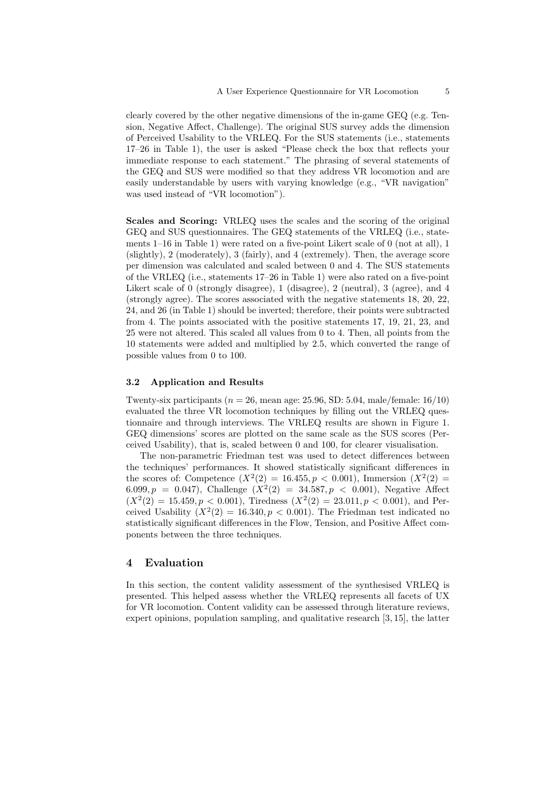clearly covered by the other negative dimensions of the in-game GEQ (e.g. Tension, Negative Affect, Challenge). The original SUS survey adds the dimension of Perceived Usability to the VRLEQ. For the SUS statements (i.e., statements 17–26 in Table 1), the user is asked "Please check the box that reflects your immediate response to each statement." The phrasing of several statements of the GEQ and SUS were modified so that they address VR locomotion and are easily understandable by users with varying knowledge (e.g., "VR navigation" was used instead of "VR locomotion").

Scales and Scoring: VRLEQ uses the scales and the scoring of the original GEQ and SUS questionnaires. The GEQ statements of the VRLEQ (i.e., statements 1–16 in Table 1) were rated on a five-point Likert scale of 0 (not at all), 1 (slightly), 2 (moderately), 3 (fairly), and 4 (extremely). Then, the average score per dimension was calculated and scaled between 0 and 4. The SUS statements of the VRLEQ (i.e., statements 17–26 in Table 1) were also rated on a five-point Likert scale of 0 (strongly disagree), 1 (disagree), 2 (neutral), 3 (agree), and 4 (strongly agree). The scores associated with the negative statements 18, 20, 22, 24, and 26 (in Table 1) should be inverted; therefore, their points were subtracted from 4. The points associated with the positive statements 17, 19, 21, 23, and 25 were not altered. This scaled all values from 0 to 4. Then, all points from the 10 statements were added and multiplied by 2.5, which converted the range of possible values from 0 to 100.

#### 3.2 Application and Results

Twenty-six participants ( $n = 26$ , mean age: 25.96, SD: 5.04, male/female: 16/10) evaluated the three VR locomotion techniques by filling out the VRLEQ questionnaire and through interviews. The VRLEQ results are shown in Figure 1. GEQ dimensions' scores are plotted on the same scale as the SUS scores (Perceived Usability), that is, scaled between 0 and 100, for clearer visualisation.

The non-parametric Friedman test was used to detect differences between the techniques' performances. It showed statistically significant differences in the scores of: Competence  $(X^2(2) = 16.455, p < 0.001)$ , Immersion  $(X^2(2) =$ 6.099,  $p = 0.047$ ), Challenge  $(X^2(2) = 34.587, p < 0.001)$ , Negative Affect  $(X^2(2) = 15.459, p < 0.001)$ , Tiredness  $(X^2(2) = 23.011, p < 0.001)$ , and Perceived Usability  $(X^2(2) = 16.340, p < 0.001)$ . The Friedman test indicated no statistically significant differences in the Flow, Tension, and Positive Affect components between the three techniques.

### 4 Evaluation

In this section, the content validity assessment of the synthesised VRLEQ is presented. This helped assess whether the VRLEQ represents all facets of UX for VR locomotion. Content validity can be assessed through literature reviews, expert opinions, population sampling, and qualitative research [3, 15], the latter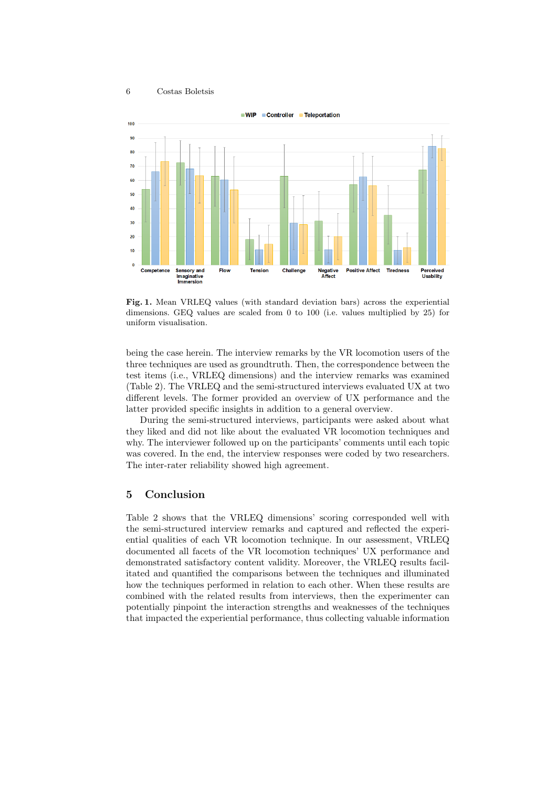

Fig. 1. Mean VRLEQ values (with standard deviation bars) across the experiential dimensions. GEQ values are scaled from 0 to 100 (i.e. values multiplied by 25) for uniform visualisation.

being the case herein. The interview remarks by the VR locomotion users of the three techniques are used as groundtruth. Then, the correspondence between the test items (i.e., VRLEQ dimensions) and the interview remarks was examined (Table 2). The VRLEQ and the semi-structured interviews evaluated UX at two different levels. The former provided an overview of UX performance and the latter provided specific insights in addition to a general overview.

During the semi-structured interviews, participants were asked about what they liked and did not like about the evaluated VR locomotion techniques and why. The interviewer followed up on the participants' comments until each topic was covered. In the end, the interview responses were coded by two researchers. The inter-rater reliability showed high agreement.

## 5 Conclusion

Table 2 shows that the VRLEQ dimensions' scoring corresponded well with the semi-structured interview remarks and captured and reflected the experiential qualities of each VR locomotion technique. In our assessment, VRLEQ documented all facets of the VR locomotion techniques' UX performance and demonstrated satisfactory content validity. Moreover, the VRLEQ results facilitated and quantified the comparisons between the techniques and illuminated how the techniques performed in relation to each other. When these results are combined with the related results from interviews, then the experimenter can potentially pinpoint the interaction strengths and weaknesses of the techniques that impacted the experiential performance, thus collecting valuable information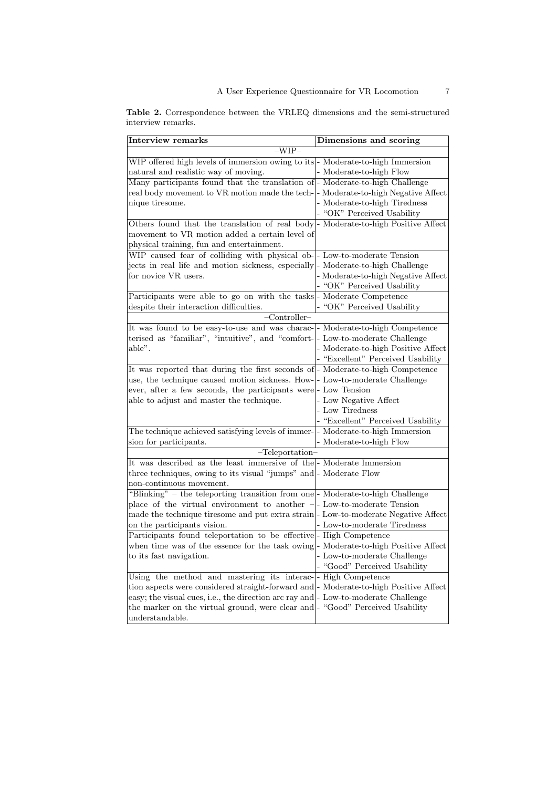| Interview remarks                                                                     | Dimensions and scoring             |  |  |
|---------------------------------------------------------------------------------------|------------------------------------|--|--|
| $-WIP-$                                                                               |                                    |  |  |
| WIP offered high levels of immersion owing to its - Moderate-to-high Immersion        |                                    |  |  |
| natural and realistic way of moving.                                                  | - Moderate-to-high Flow            |  |  |
| Many participants found that the translation of - Moderate-to-high Challenge          |                                    |  |  |
| real body movement to VR motion made the tech- - Moderate-to-high Negative Affect     |                                    |  |  |
| nique tiresome.                                                                       | - Moderate-to-high Tiredness       |  |  |
|                                                                                       | - "OK" Perceived Usability         |  |  |
| Others found that the translation of real body - Moderate-to-high Positive Affect     |                                    |  |  |
| movement to VR motion added a certain level of                                        |                                    |  |  |
| physical training, fun and entertainment.                                             |                                    |  |  |
| WIP caused fear of colliding with physical ob-- Low-to-moderate Tension               |                                    |  |  |
| jects in real life and motion sickness, especially  - Moderate-to-high Challenge      |                                    |  |  |
| for novice VR users.                                                                  | - Moderate-to-high Negative Affect |  |  |
|                                                                                       | - "OK" Perceived Usability         |  |  |
| Participants were able to go on with the tasks - Moderate Competence                  |                                    |  |  |
| despite their interaction difficulties.                                               | - "OK" Perceived Usability         |  |  |
| $-$ Controller $-$                                                                    |                                    |  |  |
| It was found to be easy-to-use and was charac- - Moderate-to-high Competence          |                                    |  |  |
| terised as "familiar", "intuitive", and "comfort- - Low-to-moderate Challenge         |                                    |  |  |
| able".                                                                                | - Moderate-to-high Positive Affect |  |  |
|                                                                                       | - "Excellent" Perceived Usability  |  |  |
| It was reported that during the first seconds of- Moderate-to-high Competence         |                                    |  |  |
| use, the technique caused motion sickness. How- $\vert$ - Low-to-moderate Challenge   |                                    |  |  |
| ever, after a few seconds, the participants were- Low Tension                         |                                    |  |  |
| able to adjust and master the technique.                                              | - Low Negative Affect              |  |  |
|                                                                                       | - Low Tiredness                    |  |  |
|                                                                                       | - "Excellent" Perceived Usability  |  |  |
| The technique achieved satisfying levels of immer- - Moderate-to-high Immersion       |                                    |  |  |
| sion for participants.                                                                | - Moderate-to-high Flow            |  |  |
| $-Teleportation-$                                                                     |                                    |  |  |
| It was described as the least immersive of the  - Moderate Immersion                  |                                    |  |  |
| three techniques, owing to its visual "jumps" and  - Moderate Flow                    |                                    |  |  |
| non-continuous movement.                                                              |                                    |  |  |
| "Blinking" – the teleporting transition from one - Moderate-to-high Challenge         |                                    |  |  |
| place of the virtual environment to another $-$ - Low-to-moderate Tension             |                                    |  |  |
| made the technique tiresome and put extra strain-Low-to-moderate Negative Affect      |                                    |  |  |
| on the participants vision.                                                           | - Low-to-moderate Tiredness        |  |  |
| Participants found teleportation to be effective- High Competence                     |                                    |  |  |
| when time was of the essence for the task owing  - Moderate-to-high Positive Affect   |                                    |  |  |
| to its fast navigation.                                                               | - Low-to-moderate Challenge        |  |  |
|                                                                                       | - "Good" Perceived Usability       |  |  |
| Using the method and mastering its interac-- High Competence                          |                                    |  |  |
| tion aspects were considered straight-forward and  - Moderate-to-high Positive Affect |                                    |  |  |
| easy; the visual cues, i.e., the direction arc ray and  - Low-to-moderate Challenge   |                                    |  |  |
| the marker on the virtual ground, were clear and  - "Good" Perceived Usability        |                                    |  |  |
| understandable.                                                                       |                                    |  |  |

Table 2. Correspondence between the VRLEQ dimensions and the semi-structured interview remarks.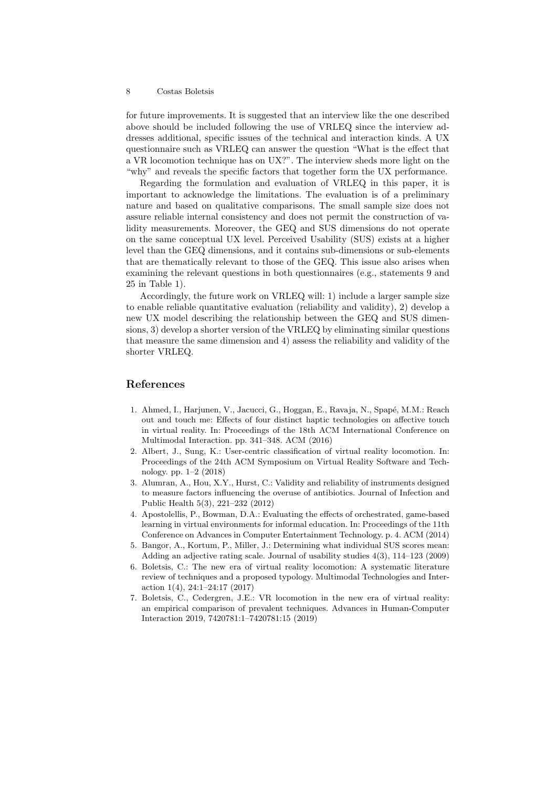for future improvements. It is suggested that an interview like the one described above should be included following the use of VRLEQ since the interview addresses additional, specific issues of the technical and interaction kinds. A UX questionnaire such as VRLEQ can answer the question "What is the effect that a VR locomotion technique has on UX?". The interview sheds more light on the "why" and reveals the specific factors that together form the UX performance.

Regarding the formulation and evaluation of VRLEQ in this paper, it is important to acknowledge the limitations. The evaluation is of a preliminary nature and based on qualitative comparisons. The small sample size does not assure reliable internal consistency and does not permit the construction of validity measurements. Moreover, the GEQ and SUS dimensions do not operate on the same conceptual UX level. Perceived Usability (SUS) exists at a higher level than the GEQ dimensions, and it contains sub-dimensions or sub-elements that are thematically relevant to those of the GEQ. This issue also arises when examining the relevant questions in both questionnaires (e.g., statements 9 and 25 in Table 1).

Accordingly, the future work on VRLEQ will: 1) include a larger sample size to enable reliable quantitative evaluation (reliability and validity), 2) develop a new UX model describing the relationship between the GEQ and SUS dimensions, 3) develop a shorter version of the VRLEQ by eliminating similar questions that measure the same dimension and 4) assess the reliability and validity of the shorter VRLEQ.

## References

- 1. Ahmed, I., Harjunen, V., Jacucci, G., Hoggan, E., Ravaja, N., Spapé, M.M.: Reach out and touch me: Effects of four distinct haptic technologies on affective touch in virtual reality. In: Proceedings of the 18th ACM International Conference on Multimodal Interaction. pp. 341–348. ACM (2016)
- 2. Albert, J., Sung, K.: User-centric classification of virtual reality locomotion. In: Proceedings of the 24th ACM Symposium on Virtual Reality Software and Technology. pp. 1–2 (2018)
- 3. Alumran, A., Hou, X.Y., Hurst, C.: Validity and reliability of instruments designed to measure factors influencing the overuse of antibiotics. Journal of Infection and Public Health 5(3), 221–232 (2012)
- 4. Apostolellis, P., Bowman, D.A.: Evaluating the effects of orchestrated, game-based learning in virtual environments for informal education. In: Proceedings of the 11th Conference on Advances in Computer Entertainment Technology. p. 4. ACM (2014)
- 5. Bangor, A., Kortum, P., Miller, J.: Determining what individual SUS scores mean: Adding an adjective rating scale. Journal of usability studies 4(3), 114–123 (2009)
- 6. Boletsis, C.: The new era of virtual reality locomotion: A systematic literature review of techniques and a proposed typology. Multimodal Technologies and Interaction 1(4), 24:1–24:17 (2017)
- 7. Boletsis, C., Cedergren, J.E.: VR locomotion in the new era of virtual reality: an empirical comparison of prevalent techniques. Advances in Human-Computer Interaction 2019, 7420781:1–7420781:15 (2019)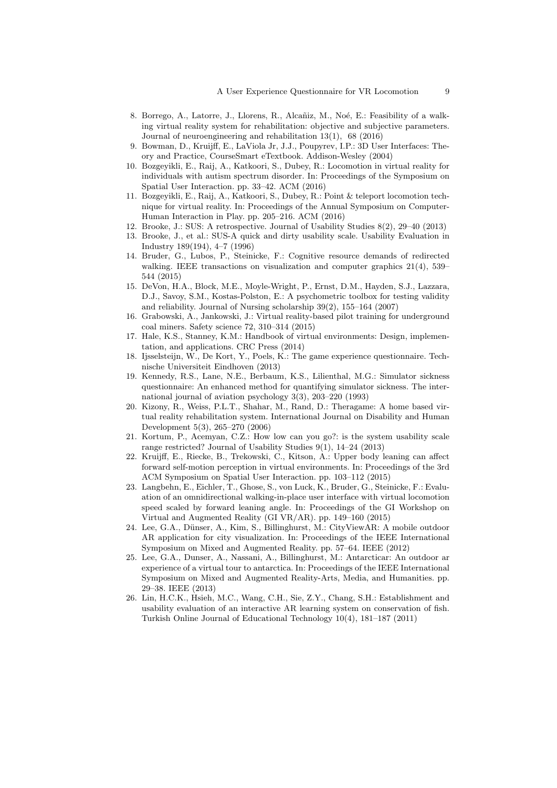- 8. Borrego, A., Latorre, J., Llorens, R., Alcañiz, M., Noé, E.: Feasibility of a walking virtual reality system for rehabilitation: objective and subjective parameters. Journal of neuroengineering and rehabilitation 13(1), 68 (2016)
- 9. Bowman, D., Kruijff, E., LaViola Jr, J.J., Poupyrev, I.P.: 3D User Interfaces: Theory and Practice, CourseSmart eTextbook. Addison-Wesley (2004)
- 10. Bozgeyikli, E., Raij, A., Katkoori, S., Dubey, R.: Locomotion in virtual reality for individuals with autism spectrum disorder. In: Proceedings of the Symposium on Spatial User Interaction. pp. 33–42. ACM (2016)
- 11. Bozgeyikli, E., Raij, A., Katkoori, S., Dubey, R.: Point & teleport locomotion technique for virtual reality. In: Proceedings of the Annual Symposium on Computer-Human Interaction in Play. pp. 205–216. ACM (2016)
- 12. Brooke, J.: SUS: A retrospective. Journal of Usability Studies 8(2), 29–40 (2013)
- 13. Brooke, J., et al.: SUS-A quick and dirty usability scale. Usability Evaluation in Industry 189(194), 4–7 (1996)
- 14. Bruder, G., Lubos, P., Steinicke, F.: Cognitive resource demands of redirected walking. IEEE transactions on visualization and computer graphics  $21(4)$ , 539– 544 (2015)
- 15. DeVon, H.A., Block, M.E., Moyle-Wright, P., Ernst, D.M., Hayden, S.J., Lazzara, D.J., Savoy, S.M., Kostas-Polston, E.: A psychometric toolbox for testing validity and reliability. Journal of Nursing scholarship 39(2), 155–164 (2007)
- 16. Grabowski, A., Jankowski, J.: Virtual reality-based pilot training for underground coal miners. Safety science 72, 310–314 (2015)
- 17. Hale, K.S., Stanney, K.M.: Handbook of virtual environments: Design, implementation, and applications. CRC Press (2014)
- 18. Ijsselsteijn, W., De Kort, Y., Poels, K.: The game experience questionnaire. Technische Universiteit Eindhoven (2013)
- 19. Kennedy, R.S., Lane, N.E., Berbaum, K.S., Lilienthal, M.G.: Simulator sickness questionnaire: An enhanced method for quantifying simulator sickness. The international journal of aviation psychology 3(3), 203–220 (1993)
- 20. Kizony, R., Weiss, P.L.T., Shahar, M., Rand, D.: Theragame: A home based virtual reality rehabilitation system. International Journal on Disability and Human Development 5(3), 265–270 (2006)
- 21. Kortum, P., Acemyan, C.Z.: How low can you go?: is the system usability scale range restricted? Journal of Usability Studies 9(1), 14–24 (2013)
- 22. Kruijff, E., Riecke, B., Trekowski, C., Kitson, A.: Upper body leaning can affect forward self-motion perception in virtual environments. In: Proceedings of the 3rd ACM Symposium on Spatial User Interaction. pp. 103–112 (2015)
- 23. Langbehn, E., Eichler, T., Ghose, S., von Luck, K., Bruder, G., Steinicke, F.: Evaluation of an omnidirectional walking-in-place user interface with virtual locomotion speed scaled by forward leaning angle. In: Proceedings of the GI Workshop on Virtual and Augmented Reality (GI VR/AR). pp. 149–160 (2015)
- 24. Lee, G.A., Dünser, A., Kim, S., Billinghurst, M.: CityViewAR: A mobile outdoor AR application for city visualization. In: Proceedings of the IEEE International Symposium on Mixed and Augmented Reality. pp. 57–64. IEEE (2012)
- 25. Lee, G.A., Dunser, A., Nassani, A., Billinghurst, M.: Antarcticar: An outdoor ar experience of a virtual tour to antarctica. In: Proceedings of the IEEE International Symposium on Mixed and Augmented Reality-Arts, Media, and Humanities. pp. 29–38. IEEE (2013)
- 26. Lin, H.C.K., Hsieh, M.C., Wang, C.H., Sie, Z.Y., Chang, S.H.: Establishment and usability evaluation of an interactive AR learning system on conservation of fish. Turkish Online Journal of Educational Technology 10(4), 181–187 (2011)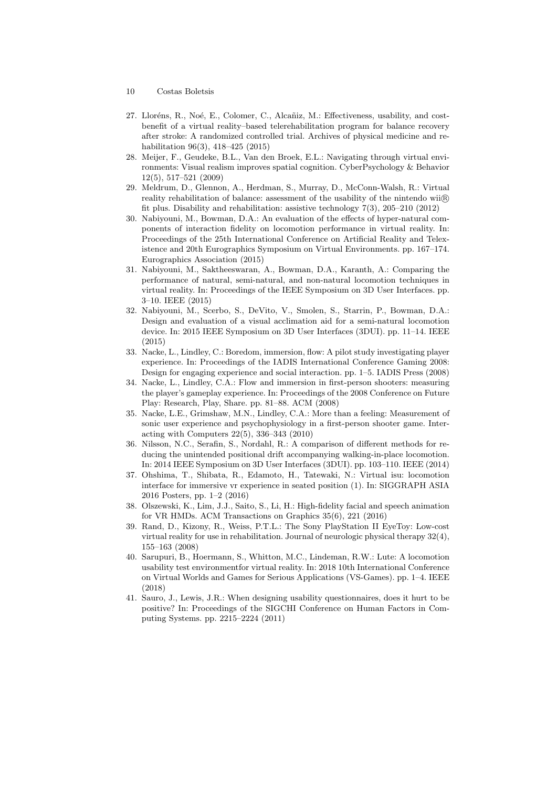- 10 Costas Boletsis
- 27. Lloréns, R., Noé, E., Colomer, C., Alcañiz, M.: Effectiveness, usability, and costbenefit of a virtual reality–based telerehabilitation program for balance recovery after stroke: A randomized controlled trial. Archives of physical medicine and rehabilitation 96(3), 418–425 (2015)
- 28. Meijer, F., Geudeke, B.L., Van den Broek, E.L.: Navigating through virtual environments: Visual realism improves spatial cognition. CyberPsychology & Behavior 12(5), 517–521 (2009)
- 29. Meldrum, D., Glennon, A., Herdman, S., Murray, D., McConn-Walsh, R.: Virtual reality rehabilitation of balance: assessment of the usability of the nintendo wii $\circledR$ fit plus. Disability and rehabilitation: assistive technology 7(3), 205–210 (2012)
- 30. Nabiyouni, M., Bowman, D.A.: An evaluation of the effects of hyper-natural components of interaction fidelity on locomotion performance in virtual reality. In: Proceedings of the 25th International Conference on Artificial Reality and Telexistence and 20th Eurographics Symposium on Virtual Environments. pp. 167–174. Eurographics Association (2015)
- 31. Nabiyouni, M., Saktheeswaran, A., Bowman, D.A., Karanth, A.: Comparing the performance of natural, semi-natural, and non-natural locomotion techniques in virtual reality. In: Proceedings of the IEEE Symposium on 3D User Interfaces. pp. 3–10. IEEE (2015)
- 32. Nabiyouni, M., Scerbo, S., DeVito, V., Smolen, S., Starrin, P., Bowman, D.A.: Design and evaluation of a visual acclimation aid for a semi-natural locomotion device. In: 2015 IEEE Symposium on 3D User Interfaces (3DUI). pp. 11–14. IEEE (2015)
- 33. Nacke, L., Lindley, C.: Boredom, immersion, flow: A pilot study investigating player experience. In: Proceedings of the IADIS International Conference Gaming 2008: Design for engaging experience and social interaction. pp. 1–5. IADIS Press (2008)
- 34. Nacke, L., Lindley, C.A.: Flow and immersion in first-person shooters: measuring the player's gameplay experience. In: Proceedings of the 2008 Conference on Future Play: Research, Play, Share. pp. 81–88. ACM (2008)
- 35. Nacke, L.E., Grimshaw, M.N., Lindley, C.A.: More than a feeling: Measurement of sonic user experience and psychophysiology in a first-person shooter game. Interacting with Computers 22(5), 336–343 (2010)
- 36. Nilsson, N.C., Serafin, S., Nordahl, R.: A comparison of different methods for reducing the unintended positional drift accompanying walking-in-place locomotion. In: 2014 IEEE Symposium on 3D User Interfaces (3DUI). pp. 103–110. IEEE (2014)
- 37. Ohshima, T., Shibata, R., Edamoto, H., Tatewaki, N.: Virtual isu: locomotion interface for immersive vr experience in seated position (1). In: SIGGRAPH ASIA 2016 Posters, pp. 1–2 (2016)
- 38. Olszewski, K., Lim, J.J., Saito, S., Li, H.: High-fidelity facial and speech animation for VR HMDs. ACM Transactions on Graphics 35(6), 221 (2016)
- 39. Rand, D., Kizony, R., Weiss, P.T.L.: The Sony PlayStation II EyeToy: Low-cost virtual reality for use in rehabilitation. Journal of neurologic physical therapy 32(4), 155–163 (2008)
- 40. Sarupuri, B., Hoermann, S., Whitton, M.C., Lindeman, R.W.: Lute: A locomotion usability test environmentfor virtual reality. In: 2018 10th International Conference on Virtual Worlds and Games for Serious Applications (VS-Games). pp. 1–4. IEEE (2018)
- 41. Sauro, J., Lewis, J.R.: When designing usability questionnaires, does it hurt to be positive? In: Proceedings of the SIGCHI Conference on Human Factors in Computing Systems. pp. 2215–2224 (2011)